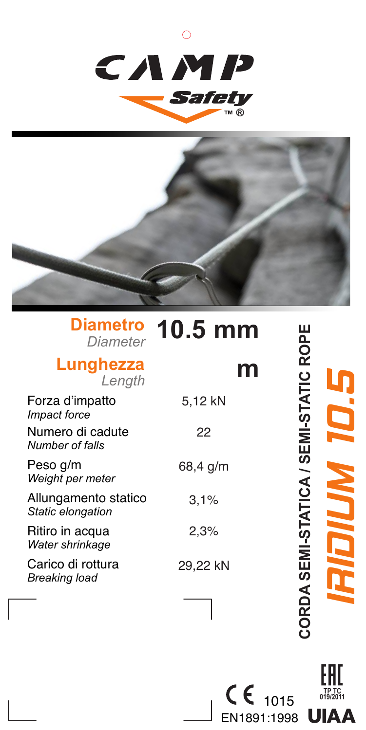



## **Diametro** *Diameter* **10.5 mm**

## **Lunghezza** *Length*

## **m**

| Forza d'impatto<br><i>Impact force</i>    | 5.12 kN  |
|-------------------------------------------|----------|
| Numero di cadute<br>Number of falls       | 22       |
| Peso g/m<br>Weight per meter              | 68,4 g/m |
| Allungamento statico<br>Static elongation | 3.1%     |
| Ritiro in acqua<br>Water shrinkage        | 2.3%     |
| Carico di rottura<br>Breaking load        | 29,22 kN |

CORDA SEMI-STATICA / SEMI-STATIC ROPE **CORDA SEMI-STATICA / SEMI-STATIC ROPE** IRIDIUM 10.5

> **TP TC 019/2011**

EAC

 $\epsilon$ 1015 EN1891:1998 **UIAA**